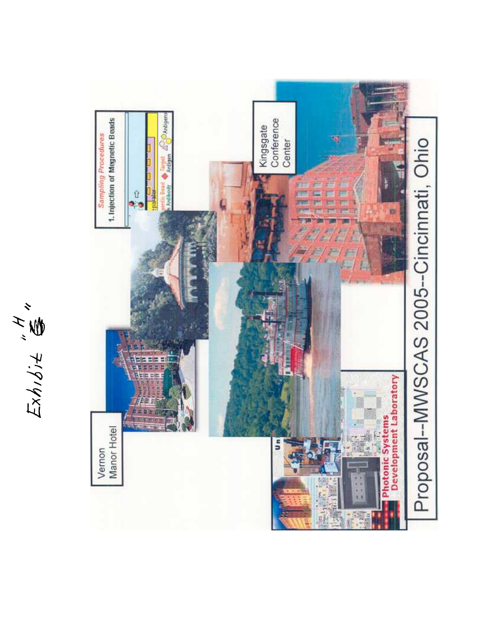

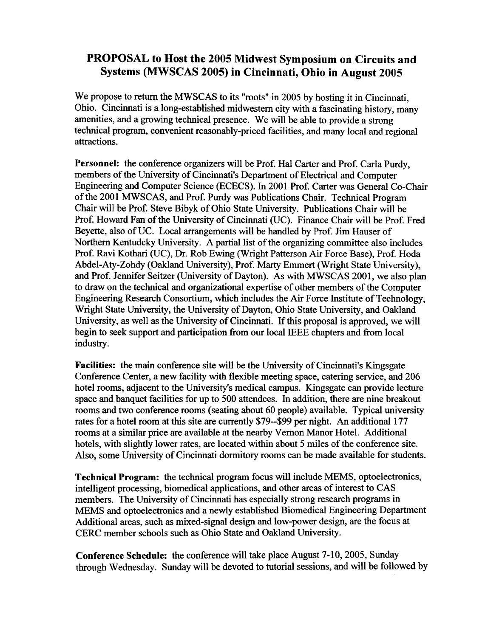## PROPOSAL to Host the 2005 Midwest Symposium on Circuits and Systems (MWSCAS 2005) in Cincinnati, Ohio in August 2005

We propose to return the MWSCAS to its "roots" in 2005 by hosting it in Cincinnati, Ohio. Cincinnati is a long-established midwestem city with a fascinating history, many amenities, and a growing technical presence. We will be able to provide a strong technical program, convenient reasonably-priced facilities, and many local and regional attractions.

Personnel: the conference organizers will be Prof. Hal Carter and Prof. Carla Purdy, members of the University of Cincinnati's Department of Electrical and Computer Engineering and Computer Science (ECECS). In 2001 Prof. Carter was General Co-Chair of the 2001 MWSCAS, and Prof. Purdy was Publications Chair. Technical Program Chair will be Prof. Steve Bibyk of Ohio State University. Publications Chair will be Prof. Howard Fan of the University of Cincinnati (UC). Finance Chair will be Prof. Fred Beyette, also of UC. Local arrangements will be handled by Prof. Jim Hauser of Northern Kentudcky University. A partial list of the organizing committee also includes Prof. Ravi Kothari (UC), Dr. Rob Ewing (Wright Patterson Air Force Base), Prof. Hoda Abdel-Aty-Zohdy (Oakland University), Prof. Marty Emmert (Wright State University), and Prof. Jennifer Seitzer (University of Dayton). As with MWSCAS 2001, we also plan to draw on the technical and organizational expertise of other members of the Computer Engineering Research Consortium, which includes the Air Force Institute of Technology, Wright State University, the University of Dayton, Ohio State University, and Oaldand University, as well as the University of Cincinnati. If this proposal is approved, we will begin to seek support and participation from our local IEEE chapters and from local industry.

Facilities: the main conference site will be the University of Cincinnati's Kingsgate Conference Center, a new facility with flexible meeting space, catering service, and 206 hotel rooms, adjacent to the University's medical campus. Kingsgate can provide lecture space and banquet facilities for up to 500 attendees. In addition, there are nine breakout rooms and two conference rooms (seating about 60 people) available. Typical university rates for a hotel room at this site are currently \$79--\$99 per night. An additional 177 rooms at a similar price are available at the nearby Vernon Manor Hotel. Additional hotels, with slightly lower rates, are located within about 5 miles of the conference site. Also, some University of Cincinnati dormitory rooms can be made available for students.

Technical Program: the technical program focus will include MEMS, optoelectronics, intelligent processing, biomedical applications, and other areas of interest to CAS members. The University of Cincinnati has especially strong research programs in MEMS and optoelectronics and a newly established Biomedical Engineering Department. Additional areas, such as mixed-signal design and low-power design, are the focus at CERC member schools such as Ohio State and Oakland University.

Conference Schedule: the conference will take place August 7-10, 2005, Sunday through Wednesday. Sunday will be devoted to tutorial sessions, and will be followed by